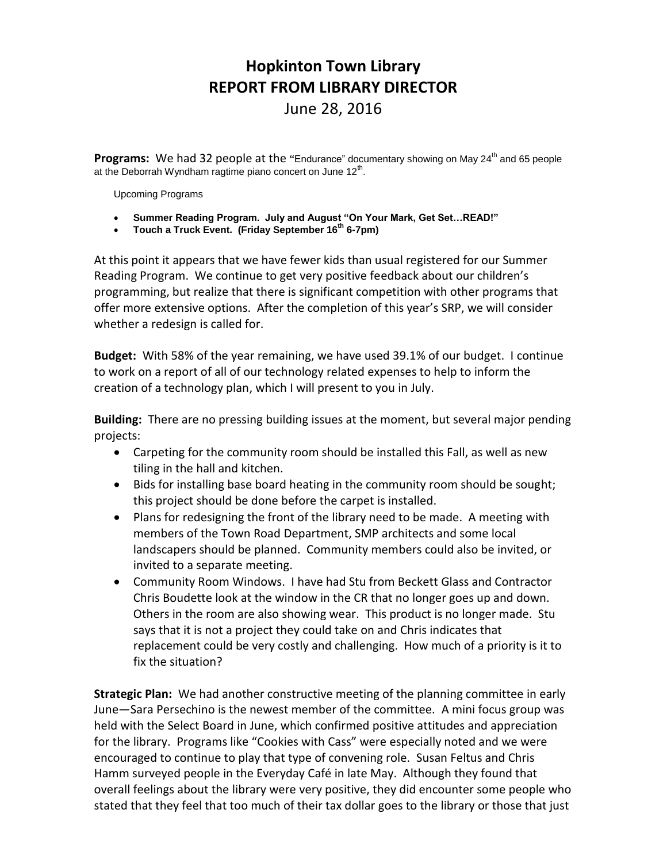## **Hopkinton Town Library REPORT FROM LIBRARY DIRECTOR**

June 28, 2016

**Programs:** We had 32 people at the "Endurance" documentary showing on May 24<sup>th</sup> and 65 people at the Deborrah Wyndham ragtime piano concert on June  $12<sup>th</sup>$ .

Upcoming Programs

- **Summer Reading Program. July and August "On Your Mark, Get Set…READ!"**
- **Touch a Truck Event. (Friday September 16th 6-7pm)**

At this point it appears that we have fewer kids than usual registered for our Summer Reading Program. We continue to get very positive feedback about our children's programming, but realize that there is significant competition with other programs that offer more extensive options. After the completion of this year's SRP, we will consider whether a redesign is called for.

**Budget:** With 58% of the year remaining, we have used 39.1% of our budget. I continue to work on a report of all of our technology related expenses to help to inform the creation of a technology plan, which I will present to you in July.

**Building:** There are no pressing building issues at the moment, but several major pending projects:

- Carpeting for the community room should be installed this Fall, as well as new tiling in the hall and kitchen.
- Bids for installing base board heating in the community room should be sought; this project should be done before the carpet is installed.
- Plans for redesigning the front of the library need to be made. A meeting with members of the Town Road Department, SMP architects and some local landscapers should be planned. Community members could also be invited, or invited to a separate meeting.
- Community Room Windows. I have had Stu from Beckett Glass and Contractor Chris Boudette look at the window in the CR that no longer goes up and down. Others in the room are also showing wear. This product is no longer made. Stu says that it is not a project they could take on and Chris indicates that replacement could be very costly and challenging. How much of a priority is it to fix the situation?

**Strategic Plan:** We had another constructive meeting of the planning committee in early June—Sara Persechino is the newest member of the committee. A mini focus group was held with the Select Board in June, which confirmed positive attitudes and appreciation for the library. Programs like "Cookies with Cass" were especially noted and we were encouraged to continue to play that type of convening role. Susan Feltus and Chris Hamm surveyed people in the Everyday Café in late May. Although they found that overall feelings about the library were very positive, they did encounter some people who stated that they feel that too much of their tax dollar goes to the library or those that just